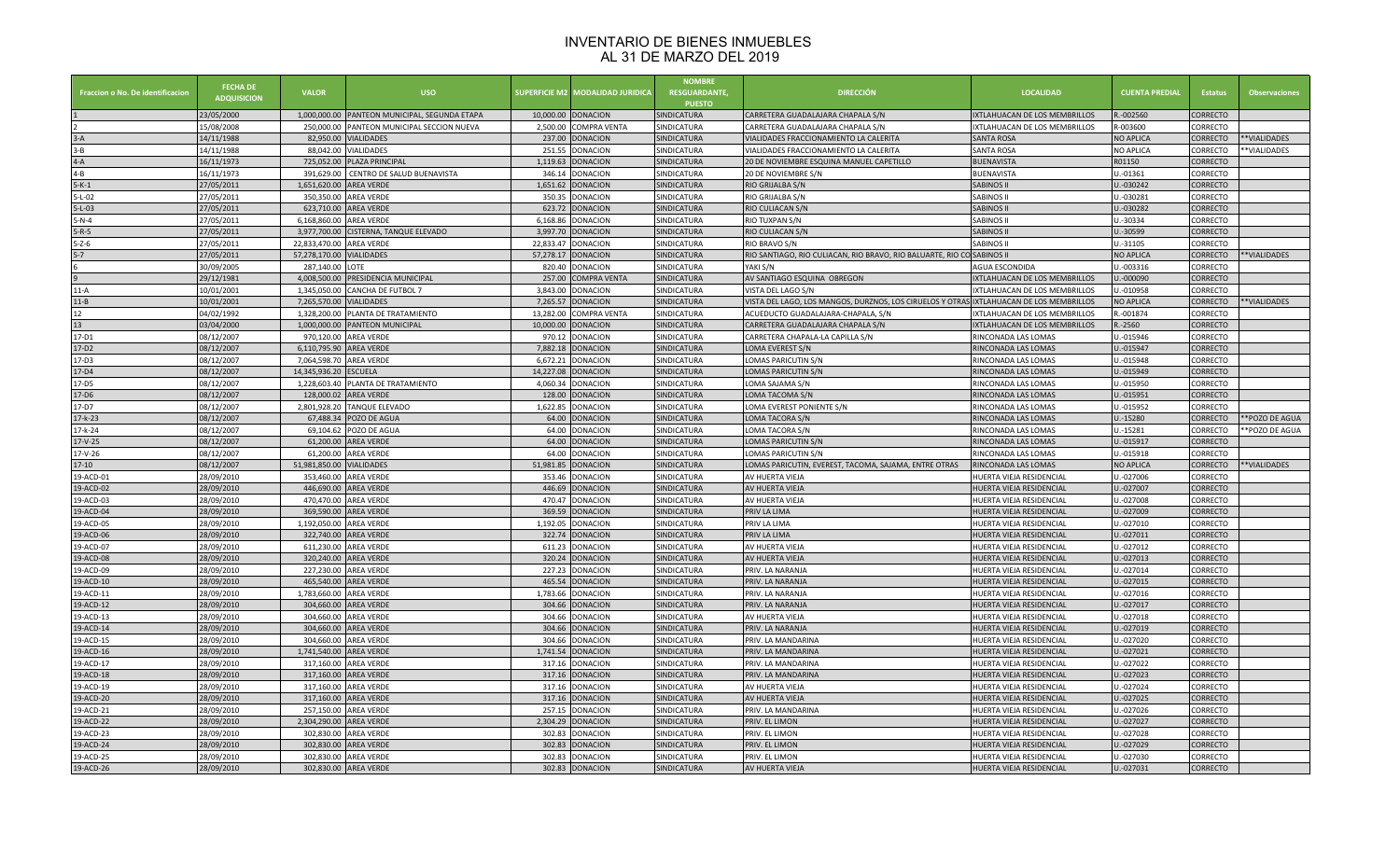## INVENTARIO DE BIENES INMUEBLES AL 31 DE MARZO DEL 2019

| Fraccion o No. De identificacion | <b>FECHA DE</b><br><b>ADQUISICION</b> | <b>VALOR</b>             | USO                                           | <b>SUPERFICIE M2</b> | <b><i><u>AODALIDAD JURIDICA</u></i></b> | <b>NOMBRE</b><br><b>RESGUARDANTE.</b><br><b>PUESTO</b> | <b>DIRECCIÓN</b>                                                                        | <b>LOCALIDAD</b>                     | <b>CUENTA PREDIAL</b> | <b>Estatus</b>  | <b>Observaciones</b> |
|----------------------------------|---------------------------------------|--------------------------|-----------------------------------------------|----------------------|-----------------------------------------|--------------------------------------------------------|-----------------------------------------------------------------------------------------|--------------------------------------|-----------------------|-----------------|----------------------|
|                                  | 23/05/2000                            |                          | 1,000,000.00 PANTEON MUNICIPAL, SEGUNDA ETAPA | 10,000.00            | <b>DONACION</b>                         | SINDICATURA                                            | CARRETERA GUADALAJARA CHAPALA S/N                                                       | IXTLAHUACAN DE LOS MEMBRILLOS        | R.-002560             | CORRECTO        |                      |
|                                  | 15/08/2008                            |                          | 250,000.00 PANTEON MUNICIPAL SECCION NUEVA    | 2.500.00             | <b>COMPRA VENTA</b>                     | SINDICATURA                                            | CARRETERA GUADALAJARA CHAPALA S/N                                                       | <b>IXTLAHUACAN DE LOS MEMBRILLOS</b> | R-003600              | CORRECTO        |                      |
|                                  | 14/11/1988                            | 82,950.00                | <b>VIALIDADES</b>                             | 237.00               | <b>DONACION</b>                         | SINDICATURA                                            | VIALIDADES FRACCIONAMIENTO LA CALERITA                                                  | <b>SANTA ROSA</b>                    | <b>NO APLICA</b>      | <b>CORRECTO</b> | **VIALIDADES         |
| $3 - B$                          | 14/11/1988                            |                          | 88,042.00 VIALIDADES                          | 251.55               | <b>DONACION</b>                         | SINDICATURA                                            | VIALIDADES FRACCIONAMIENTO LA CALERITA                                                  | <b>SANTA ROSA</b>                    | <b>NO APLICA</b>      | CORRECTO        | **VIALIDADES         |
| $4-A$                            | 16/11/1973                            | 725,052.00               | PLAZA PRINCIPAL                               | 1,119.63             | <b>ONACION</b>                          | SINDICATURA                                            | 20 DE NOVIEMBRE ESQUINA MANUEL CAPETILLO                                                | <b>BUENAVISTA</b>                    | R01150                | CORRECTO        |                      |
| $4 - B$                          | 16/11/1973                            |                          | 391,629.00 CENTRO DE SALUD BUENAVISTA         | 346.14               | <b>DONACION</b>                         | SINDICATURA                                            | 20 DE NOVIEMBRE S/N                                                                     | <b>BUENAVISTA</b>                    | $U.-01361$            | CORRECTO        |                      |
| $5 - K - 1$                      | 27/05/2011                            | 1,651,620.00 AREA VERDE  |                                               | 1,651.62             | DONACION                                | SINDICATURA                                            | RIO GRIJALBA S/N                                                                        | SABINOS I                            | J.-030242             | CORRECTO        |                      |
| $5 - L - 02$                     | 27/05/2011                            |                          | 350,350.00 AREA VERDE                         | 350.35               | <b>DONACION</b>                         | SINDICATURA                                            | RIO GRIJALBA S/N                                                                        | SABINOS I                            | U.-030281             | CORRECTO        |                      |
| $5 - L - 03$                     | 27/05/2011                            |                          | 623,710.00 AREA VERDE                         | 623.72               | <b>DONACION</b>                         | SINDICATURA                                            | RIO CULIACAN S/N                                                                        | SABINOS I                            | U.-030282             | <b>CORRECTO</b> |                      |
| $5 - N - 4$                      | 27/05/2011                            | 6,168,860.00 AREA VERDE  |                                               | 6,168.86             | <b>DONACION</b>                         | SINDICATURA                                            | RIO TUXPAN S/N                                                                          | <b>SABINOS II</b>                    | U.-30334              | CORRECTO        |                      |
| $5 - R - 5$                      | 27/05/2011                            |                          | 3,977,700.00 CISTERNA, TANQUE ELEVADO         | 3,997.70             | <b>DONACION</b>                         | SINDICATURA                                            | RIO CULIACAN S/N                                                                        | SABINOS I                            | U.-30599              | <b>CORRECTO</b> |                      |
| $5 - Z - 6$                      | 27/05/2011                            | 22,833,470.00 AREA VERDE |                                               | 22,833.47            | <b>DONACION</b>                         | SINDICATURA                                            | RIO BRAVO S/N                                                                           | SABINOS II                           | $U.-31105$            | CORRECTO        |                      |
| $5-7$                            | 27/05/2011                            | 57,278,170.00 VIALIDADES |                                               | 57,278.17            | <b>DONACION</b>                         | SINDICATURA                                            | RIO SANTIAGO, RIO CULIACAN, RIO BRAVO, RIO BALUARTE, RIO CO SABINOS II                  |                                      | <b>NO APLICA</b>      | <b>CORRECTO</b> | **VIALIDADES         |
|                                  | 30/09/2005                            | 287,140.00 LOTE          |                                               | 820.40               | <b>DONACION</b>                         | SINDICATURA                                            | YAKI S/N                                                                                | <b>AGUA ESCONDIDA</b>                | J.-003316             | CORRECTO        |                      |
|                                  | 29/12/1981                            |                          | 4,008,500.00 PRESIDENCIA MUNICIPAL            | 257.00               | <b>COMPRA VENTA</b>                     | SINDICATURA                                            | AV SANTIAGO ESQUINA OBREGON                                                             | IXTLAHUACAN DE LOS MEMBRILLOS        | U.-000090             | <b>CORRECTO</b> |                      |
| $11-A$                           | 10/01/2001                            |                          | 1,345,050.00 CANCHA DE FUTBOL 7               | 3.843.00             | <b>DONACION</b>                         | SINDICATURA                                            | VISTA DEL LAGO S/N                                                                      | IXTLAHUACAN DE LOS MEMBRILLOS        | U.-010958             | CORRECTO        |                      |
| $11 - B$                         | 10/01/2001                            | 7,265,570.00 VIALIDADES  |                                               | 7,265.57             | <b>DONACION</b>                         | SINDICATURA                                            | VISTA DEL LAGO, LOS MANGOS, DURZNOS, LOS CIRUELOS Y OTRAS IXTLAHUACAN DE LOS MEMBRILLOS |                                      | <b>NO APLICA</b>      | <b>CORRECTO</b> | **VIALIDADES         |
| $12\,$                           | 04/02/1992                            |                          | 1.328.200.00 PLANTA DE TRATAMIENTO            | 13.282.00            | COMPRA VENTA                            | SINDICATURA                                            | ACUEDUCTO GUADALAJARA-CHAPALA, S/N                                                      | IXTLAHUACAN DE LOS MEMBRILLOS        | R.-001874             | CORRECTO        |                      |
| 13                               | 03/04/2000                            |                          | 1.000.000.00 PANTEON MUNICIPAL                | 10.000.00            | <b>DONACION</b>                         | SINDICATURA                                            | CARRETERA GUADALAJARA CHAPALA S/N                                                       | IXTLAHUACAN DE LOS MEMBRILLOS        | R.-2560               | CORRECTO        |                      |
| 17-D1                            | 08/12/2007                            |                          | 970,120.00 AREA VERDE                         | 970.12               | <b>DONACION</b>                         | SINDICATURA                                            | CARRETERA CHAPALA-LA CAPILLA S/N                                                        | RINCONADA LAS LOMAS                  | U.-015946             | CORRECTO        |                      |
| $17-D2$                          | 08/12/2007                            | 6,110,795.90 AREA VERDE  |                                               | 7.882.18             | <b>DONACION</b>                         | SINDICATURA                                            | LOMA EVEREST S/N                                                                        | RINCONADA LAS LOMAS                  | U.-015947             | <b>CORRECTO</b> |                      |
| 17-D3                            | 08/12/2007                            | 7,064,598.70             | <b>AREA VERDE</b>                             | 6,672.21             | <b>DONACION</b>                         | SINDICATURA                                            | OMAS PARICUTIN S/N                                                                      | RINCONADA LAS LOMAS                  | U.-015948             | CORRECTO        |                      |
| $17-D4$                          | 08/12/2007                            | 14,345,936.20 ESCUELA    |                                               | 14.227.08            | <b>DONACION</b>                         | SINDICATURA                                            | LOMAS PARICUTIN S/N                                                                     | RINCONADA LAS LOMAS                  | U.-015949             | <b>CORRECTO</b> |                      |
| 17-D5                            | 08/12/2007                            |                          | 1,228,603.40 PLANTA DE TRATAMIENTO            | 4,060.34             | <b>DONACION</b>                         | SINDICATURA                                            | OMA SAJAMA S/N                                                                          | RINCONADA LAS LOMAS                  | U.-015950             | CORRECTO        |                      |
| 17-D6                            | 08/12/2007                            |                          | 128,000.02 AREA VERDE                         | 128.00               | DONACION                                | SINDICATURA                                            | OMA TACOMA S/N                                                                          | RINCONADA LAS LOMAS                  | J.-015951             | <b>CORRECTO</b> |                      |
| 17-D7                            | 08/12/2007                            | 2,801,928.20             | <b>TANQUE ELEVADO</b>                         | 1,622.85             | <b>DONACION</b>                         | SINDICATURA                                            | LOMA EVEREST PONIENTE S/N                                                               | RINCONADA LAS LOMAS                  | U.-015952             | CORRECTO        |                      |
| $17-k-23$                        | 08/12/2007                            | 67,488.34                | POZO DE AGUA                                  | 64.00                | <b>DONACION</b>                         | SINDICATURA                                            | LOMA TACORA S/N                                                                         | RINCONADA LAS LOMAS                  | U.-15280              | CORRECTO        | *POZO DE AGUA        |
| $17-k-24$                        | 08/12/2007                            | 69,104.62                | POZO DE AGUA                                  | 64.00                | DONACION                                | SINDICATURA                                            | LOMA TACORA S/N                                                                         | RINCONADA LAS LOMAS                  | U.-15281              | CORRECTO        | **POZO DE AGUA       |
| 17-V-25                          | 08/12/2007                            |                          | 61,200.00 AREA VERDE                          |                      | 64.00 DONACION                          | SINDICATURA                                            | LOMAS PARICUTIN S/N                                                                     | RINCONADA LAS LOMAS                  | J.-015917             | CORRECTO        |                      |
| 17-V-26                          | 08/12/2007                            |                          | 61,200.00 AREA VERDE                          | 64.00                | <b>DONACION</b>                         | SINDICATURA                                            | LOMAS PARICUTIN S/N                                                                     | RINCONADA LAS LOMAS                  | U.-015918             | CORRECTO        |                      |
| $17 - 10$                        | 08/12/2007                            | 51,981,850.00 VIALIDADES |                                               | 51,981.85            | <b>DONACION</b>                         | SINDICATURA                                            | LOMAS PARICUTIN, EVEREST, TACOMA, SAJAMA, ENTRE OTRAS                                   | RINCONADA LAS LOMAS                  | <b>NO APLICA</b>      | CORRECTO        | **VIALIDADES         |
| 19-ACD-01                        | 28/09/2010                            |                          | 353,460.00 AREA VERDE                         | 353.46               | <b>DONACION</b>                         | SINDICATURA                                            | AV HUERTA VIEJA                                                                         | IUERTA VIEJA RESIDENCIA              | U.-027006             | CORRECTO        |                      |
| 19-ACD-02                        | 28/09/2010                            |                          | 446,690.00 AREA VERDE                         |                      | 446.69 DONACION                         | SINDICATURA                                            | AV HUERTA VIEJA                                                                         | IUERTA VIEJA RESIDENCIAL             | U.-027007             | CORRECTO        |                      |
| 19-ACD-03                        | 28/09/2010                            |                          | 470,470.00 AREA VERDE                         | 470.47               | <b>DONACION</b>                         | SINDICATURA                                            | AV HUERTA VIEJA                                                                         | HUERTA VIEJA RESIDENCIAI             | U.-027008             | CORRECTO        |                      |
| 19-ACD-04                        | 28/09/2010                            |                          | 369,590.00 AREA VERDE                         | 369.59               | <b>DONACION</b>                         | SINDICATURA                                            | PRIV LA LIMA                                                                            | HUERTA VIEJA RESIDENCIAL             | U.-027009             | <b>CORRECTO</b> |                      |
| 19-ACD-05                        | 28/09/2010                            | 1,192,050.00 AREA VERDE  |                                               | 1,192.05             | <b>DONACION</b>                         | SINDICATURA                                            | PRIV LA LIMA                                                                            | HUERTA VIEJA RESIDENCIAI             | $U.-027010$           | CORRECTO        |                      |
| 19-ACD-06                        | 28/09/2010                            |                          | 322,740.00 AREA VERDE                         | 322.74               | <b>DONACION</b>                         | SINDICATURA                                            | PRIV LA LIMA                                                                            | IUERTA VIEJA RESIDENCIAL             | U.-027011             | <b>CORRECTO</b> |                      |
| 19-ACD-07                        | 28/09/2010                            |                          | 611,230.00 AREA VERDE                         | 611.23               | <b>DONACION</b>                         | SINDICATURA                                            | AV HUERTA VIEJA                                                                         | HUERTA VIEJA RESIDENCIAI             | U.-027012             | CORRECTO        |                      |
| 19-ACD-08                        | 28/09/2010                            |                          | 320,240.00 AREA VERDE                         | 320.24               | DONACION                                | SINDICATURA                                            | AV HUERTA VIEJA                                                                         | IUERTA VIEJA RESIDENCIAL             | $-027013$             | CORRECTO        |                      |
| 19-ACD-09                        | 28/09/2010                            |                          | 227,230.00 AREA VERDE                         | 227.23               | <b>DONACION</b>                         | SINDICATURA                                            | PRIV. LA NARANJA                                                                        | HUERTA VIEJA RESIDENCIAL             | U.-027014             | CORRECTO        |                      |
| 19-ACD-10                        | 28/09/2010                            |                          | 465,540.00 AREA VERDE                         | 465.54               | <b>DONACION</b>                         | SINDICATURA                                            | PRIV. LA NARANJA                                                                        | <b>IUERTA VIEJA RESIDENCIAL</b>      | $U.-027015$           | <b>CORRECTO</b> |                      |
| 19-ACD-11                        | 28/09/2010                            | 1.783.660.00 AREA VERDE  |                                               | 1.783.66             | <b>DONACION</b>                         | SINDICATURA                                            | PRIV. LA NARANJA                                                                        | HUERTA VIEJA RESIDENCIAI             | U.-027016             | CORRECTO        |                      |
| 19-ACD-12                        | 28/09/2010                            |                          | 304,660.00 AREA VERDE                         | 304.66               | <b>DONACION</b>                         | SINDICATURA                                            | PRIV. LA NARANJA                                                                        | <b>IUERTA VIEJA RESIDENCIAL</b>      | U.-027017             | <b>CORRECTO</b> |                      |
| 19-ACD-13                        | 28/09/2010                            |                          | 304.660.00 AREA VERDE                         | 304.66               | <b>DONACION</b>                         | SINDICATURA                                            | AV HUERTA VIEJA                                                                         | <b>HUERTA VIEJA RESIDENCIAI</b>      | U.-027018             | CORRECTO        |                      |
| 19-ACD-14                        | 28/09/2010                            |                          | 304,660.00 AREA VERDE                         | 304.66               | <b>DONACION</b>                         | SINDICATURA                                            | PRIV. LA NARANJA                                                                        | <b>IUERTA VIEJA RESIDENCIAL</b>      | J.-027019             | CORRECTO        |                      |
| 19-ACD-15                        | 28/09/2010                            |                          | 304,660.00 AREA VERDE                         | 304.66               | <b>DONACION</b>                         | SINDICATURA                                            | PRIV. LA MANDARINA                                                                      | <b>HUERTA VIEJA RESIDENCIAI</b>      | U.-027020             | CORRECTO        |                      |
| 19-ACD-16                        | 28/09/2010                            | 1,741,540.00 AREA VERDE  |                                               | 1.741.54             | <b>DONACION</b>                         | SINDICATURA                                            | PRIV. LA MANDARINA                                                                      | IUERTA VIEJA RESIDENCIAL             | J.-027021             | CORRECTO        |                      |
| 19-ACD-17                        | 28/09/2010                            |                          | 317,160.00 AREA VERDE                         | 317.16               | DONACION                                | SINDICATURA                                            | PRIV. LA MANDARINA                                                                      | HUERTA VIEJA RESIDENCIAI             | U.-027022             | CORRECTO        |                      |
| 19-ACD-18                        | 28/09/2010                            |                          | 317,160.00 AREA VERDE                         | 317.16               | <b>ONACION</b>                          | SINDICATURA                                            | PRIV. LA MANDARINA                                                                      | <b>HUERTA VIEJA RESIDENCIAI</b>      | J.-027023             | <b>CORRECTO</b> |                      |
| 19-ACD-19                        | 28/09/2010                            |                          | 317,160.00 AREA VERDE                         | 317.16               | <b>DONACION</b>                         | SINDICATURA                                            | AV HUERTA VIEJA                                                                         | IUERTA VIEJA RESIDENCIAI             | J.-027024             | CORRECTO        |                      |
| 19-ACD-20                        | 28/09/2010                            |                          | 317,160.00 AREA VERDE                         | 317.16               | <b>DONACION</b>                         | SINDICATURA                                            | AV HUERTA VIEJA                                                                         | HUERTA VIEJA RESIDENCIA              | U.-027025             | CORRECTO        |                      |
| 19-ACD-21                        | 28/09/2010                            |                          | 257,150.00 AREA VERDE                         | 257.15               | <b>DONACION</b>                         | SINDICATURA                                            | PRIV. LA MANDARINA                                                                      | HUERTA VIEJA RESIDENCIAL             | U.-027026             | CORRECTO        |                      |
| 19-ACD-22                        | 28/09/2010                            | 2,304,290.00 AREA VERDE  |                                               | 2,304.29             | <b>DONACION</b>                         | SINDICATURA                                            | PRIV. EL LIMON                                                                          | HUERTA VIEJA RESIDENCIAI             | U.-027027             | CORRECTO        |                      |
| 19-ACD-23                        | 28/09/2010                            |                          | 302,830.00 AREA VERDE                         |                      | 302.83 DONACION                         | SINDICATURA                                            | PRIV. EL LIMON                                                                          | IUERTA VIEJA RESIDENCIAL             | U.-027028             | CORRECTO        |                      |
| 19-ACD-24                        | 28/09/2010                            |                          | 302,830.00 AREA VERDE                         | 302.83               | <b>DONACION</b>                         | SINDICATURA                                            | PRIV. EL LIMON                                                                          | HUERTA VIEJA RESIDENCIAL             | U.-027029             | CORRECTO        |                      |
| 19-ACD-25                        | 28/09/2010                            |                          | 302,830.00 AREA VERDE                         | 302.83               | <b>DONACION</b>                         | SINDICATURA                                            | PRIV. EL LIMON                                                                          | HUERTA VIEJA RESIDENCIAL             | U.-027030             | CORRECTO        |                      |
| 19-ACD-26                        | 28/09/2010                            |                          | 302,830.00 AREA VERDE                         | 302.83               | <b>DONACION</b>                         | SINDICATURA                                            | AV HUERTA VIEJA                                                                         | HUERTA VIEJA RESIDENCIAL             | U.-027031             | <b>CORRECTO</b> |                      |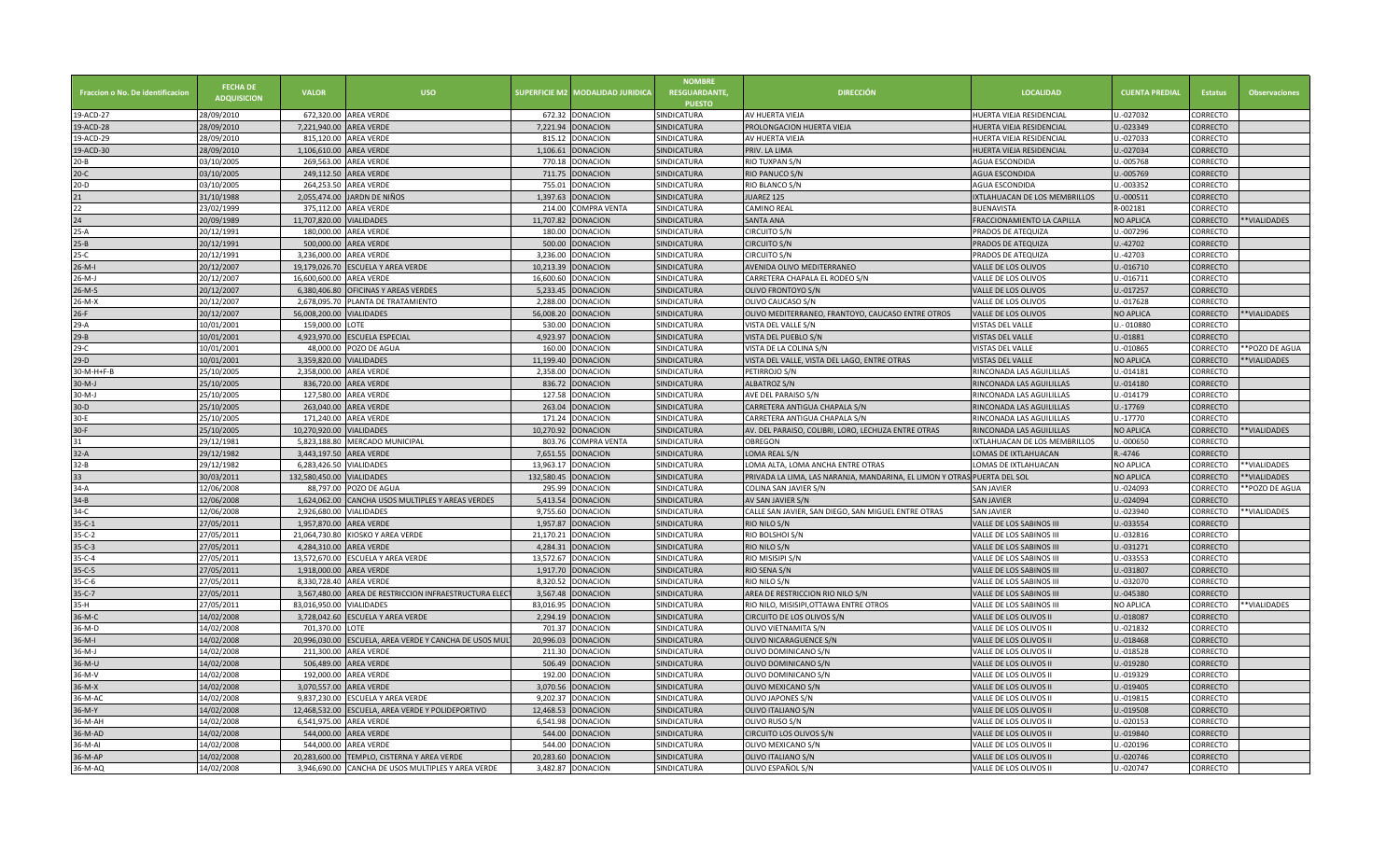| <b>Fraccion o No. De identificacion</b> | <b>FECHA DE</b><br><b>ADQUISICION</b> | <b>VALOR</b>              | <b>USO</b>                                             | <b>SUPERFICIE M2</b> | <b>MODALIDAD JURIDICA</b> | <b>NOMBRE</b><br><b>RESGUARDANTE.</b><br><b>PUESTO</b> | <b>DIRECCIÓN</b>                                                         | <b>LOCALIDAD</b>              | <b>CUENTA PREDIAL</b> | <b>Estatus</b>  | <b>Observaciones</b> |
|-----------------------------------------|---------------------------------------|---------------------------|--------------------------------------------------------|----------------------|---------------------------|--------------------------------------------------------|--------------------------------------------------------------------------|-------------------------------|-----------------------|-----------------|----------------------|
| 19-ACD-27                               | 28/09/2010                            |                           | 672,320.00 AREA VERDE                                  | 672.32               | DONACION                  | SINDICATURA                                            | AV HUERTA VIEJA                                                          | HUERTA VIEJA RESIDENCIAI      | J.-027032             | ORRECTO         |                      |
| 19-ACD-28                               | 28/09/2010                            | 7,221,940.00 AREA VERDE   |                                                        | 7.221.94             | <b>DONACION</b>           | SINDICATURA                                            | PROLONGACION HUERTA VIEJA                                                | HUERTA VIEJA RESIDENCIAL      | J.-023349             | CORRECTO        |                      |
| 19-ACD-29                               | 28/09/2010                            |                           | 815,120.00 AREA VERDE                                  | 815.12               | <b>DONACION</b>           | SINDICATURA                                            | AV HUERTA VIEJA                                                          | HUERTA VIEJA RESIDENCIAI      | J.-027033             | CORRECTO        |                      |
| 19-ACD-30                               | 28/09/2010                            | 1,106,610.00 AREA VERDE   |                                                        | 1,106.61             | DONACION                  | SINDICATURA                                            | PRIV. LA LIMA                                                            | HUERTA VIEJA RESIDENCIAL      | J.-027034             | CORRECTO        |                      |
| $20 - B$                                | 03/10/2005                            | 269.563.00                | <b>AREA VERDE</b>                                      | 770.18               | <b>ONACION</b>            | SINDICATURA                                            | RIO TUXPAN S/N                                                           | AGUA ESCONDIDA                | J.-005768             | CORRECTO        |                      |
| $20-C$                                  | 03/10/2005                            |                           | 249,112.50 AREA VERDE                                  | 711.75               | <b>ONACION</b>            | SINDICATURA                                            | RIO PANUCO S/N                                                           | AGUA ESCONDIDA                | J.-005769             | CORRECTO        |                      |
| $20-D$                                  | 03/10/2005                            |                           | 264.253.50 AREA VERDE                                  | 755.01               | <b>ONACION</b>            | SINDICATURA                                            | RIO BLANCO S/N                                                           | AGUA ESCONDIDA                | J.-003352             | CORRECTO        |                      |
| 21                                      | 31/10/1988                            |                           | 2,055,474.00 JARDN DE NIÑOS                            | 1,397.63             | <b>DONACION</b>           | SINDICATURA                                            | JUAREZ 125                                                               | IXTLAHUACAN DE LOS MEMBRILLOS | J.-000511             | CORRECTO        |                      |
| $\overline{22}$                         | 23/02/1999                            |                           | 375,112.00 AREA VERDE                                  | 214.00               | OMPRA VENTA               | SINDICATURA                                            | <b>CAMINO REAL</b>                                                       | <b>BUENAVISTA</b>             | R-002181              | CORRECTO        |                      |
| 24                                      | 20/09/1989                            | 11,707,820.00 VIALIDADES  |                                                        | 11,707.82            | DONACION                  | SINDICATURA                                            | <b>SANTA ANA</b>                                                         | FRACCIONAMIENTO LA CAPILLA    | NO APLICA             | CORRECTO        | **VIALIDADES         |
| $25-A$                                  | 20/12/1991                            |                           | 180,000.00 AREA VERDE                                  | 180.00               | DONACION                  | SINDICATURA                                            | <b>CIRCUITO S/N</b>                                                      | PRADOS DE ATEQUIZA            | J.-007296             | CORRECTO        |                      |
| $25-B$                                  | 20/12/1991                            |                           | 500,000.00 AREA VERDE                                  | 500.00               | <b>DONACION</b>           | SINDICATURA                                            | <b>CIRCUITO S/N</b>                                                      | PRADOS DE ATEQUIZA            | J.-42702              | CORRECTO        |                      |
| $25-C$                                  | 20/12/1991                            | 3,236,000.00 AREA VERDE   |                                                        | 3,236.00             | DONACION                  | SINDICATURA                                            | <b>CIRCUITO S/N</b>                                                      | PRADOS DE ATEQUIZA            | J.-42703              | CORRECTO        |                      |
| $26-M-I$                                | 20/12/2007                            |                           | 19,179,026.70 ESCUELA Y AREA VERDE                     | 10,213.39            | <b>DONACION</b>           | <b>SINDICATURA</b>                                     | AVENIDA OLIVO MEDITERRANEO                                               | VALLE DE LOS OLIVOS           | J.-016710             | CORRECTO        |                      |
| $26-M-J$                                | 20/12/2007                            | 16,600,600.00 AREA VERDE  |                                                        | 16,600.60            | DONACION                  | SINDICATURA                                            | CARRETERA CHAPALA EL RODEO S/N                                           | VALLE DE LOS OLIVOS           | J.-016711             | CORRECTO        |                      |
| $26-M-S$                                | 20/12/2007                            |                           | 6,380,406.80 OFICINAS Y AREAS VERDES                   | 5,233.45             | <b>DONACION</b>           | SINDICATURA                                            | OLIVO FRONTOYO S/N                                                       | VALLE DE LOS OLIVOS           | J.-017257             | CORRECTO        |                      |
| $26-M-X$                                | 20/12/2007                            |                           | 2,678,095.70 PLANTA DE TRATAMIENTO                     | 2.288.00             | DONACION                  | SINDICATURA                                            | OLIVO CAUCASO S/N                                                        | VALLE DE LOS OLIVOS           | J.-017628             | CORRECTO        |                      |
| $26-F$                                  |                                       |                           |                                                        | 56,008.20            | <b>DONACION</b>           | SINDICATURA                                            | OLIVO MEDITERRANEO, FRANTOYO, CAUCASO ENTRE OTROS                        |                               | <b>NO APLICA</b>      | CORRECTO        | **VIALIDADES         |
|                                         | 20/12/2007                            | 56,008,200.00 VIALIDADES  |                                                        |                      |                           |                                                        |                                                                          | VALLE DE LOS OLIVOS           |                       |                 |                      |
| $29-A$                                  | 10/01/2001                            | 159,000.00 LOTE           |                                                        | 530.00               | <b>DONACION</b>           | SINDICATURA                                            | VISTA DEL VALLE S/N                                                      | VISTAS DEL VALLE              | U.-010880             | CORRECTO        |                      |
| $29 - B$                                | 10/01/2001                            |                           | 4,923,970.00 ESCUELA ESPECIAL                          | 4,923.97             | <b>DONACION</b>           | SINDICATURA                                            | VISTA DEL PUEBLO S/N                                                     | VISTAS DEL VALLE              | J.-01881              | CORRECTO        |                      |
| $29-C$                                  | 10/01/2001                            |                           | 48,000.00 POZO DE AGUA                                 | 160.00               | DONACION                  | SINDICATURA                                            | VISTA DE LA COLINA S/N                                                   | VISTAS DEL VALLE              | U.-010865             | CORRECTO        | **POZO DE AGUA       |
| $29-D$                                  | 10/01/2001                            | 3,359,820.00 VIALIDADES   |                                                        | 11,199.40            | <b>DONACION</b>           | SINDICATURA                                            | VISTA DEL VALLE, VISTA DEL LAGO, ENTRE OTRAS                             | <b>VISTAS DEL VALLE</b>       | NO APLICA             | CORRECTO        | **VIALIDADES         |
| 30-M-H+F-B                              | 25/10/2005                            | 2,358,000.00 AREA VERDE   |                                                        | 2.358.00             | DONACION                  | SINDICATURA                                            | PETIRROJO S/N                                                            | RINCONADA LAS AGUILILLAS      | J.-014181             | CORRECTO        |                      |
| $30-M-J$                                | 25/10/2005                            |                           | 836,720.00 AREA VERDE                                  | 836.72               | <b>DONACION</b>           | SINDICATURA                                            | <b>ALBATROZ S/N</b>                                                      | RINCONADA LAS AGUILILLAS      | J.-014180             | CORRECTO        |                      |
| 30-M-J                                  | 25/10/2005                            |                           | 127,580.00 AREA VERDE                                  | 127.58               | DONACION                  | SINDICATURA                                            | AVE DEL PARAISO S/N                                                      | RINCONADA LAS AGUILILLAS      | U.-014179             | CORRECTO        |                      |
| $30-D$                                  | 25/10/2005                            |                           | 263,040.00 AREA VERDE                                  | 263.04               | DONACION                  | SINDICATURA                                            | CARRETERA ANTIGUA CHAPALA S/N                                            | RINCONADA LAS AGUILILLAS      | U.-17769              | <b>CORRECTO</b> |                      |
| $30-E$                                  | 25/10/2005                            |                           | 171,240.00 AREA VERDE                                  | 171.24               | DONACION                  | SINDICATURA                                            | CARRETERA ANTIGUA CHAPALA S/N                                            | RINCONADA LAS AGUILILLAS      | U.-17770              | CORRECTO        |                      |
| $30-F$                                  | 25/10/2005                            | 10,270,920.00 VIALIDADES  |                                                        | 10,270.92            | <b>DONACION</b>           | SINDICATURA                                            | AV. DEL PARAISO, COLIBRI, LORO, LECHUZA ENTRE OTRAS                      | RINCONADA LAS AGUILILLAS      | NO APLICA             | <b>CORRECTO</b> | **VIALIDADES         |
| 31                                      | 29/12/1981                            |                           | 5.823.188.80 MERCADO MUNICIPAL                         | 803.76               | COMPRA VENTA              | SINDICATURA                                            | OBREGON                                                                  | IXTLAHUACAN DE LOS MEMBRILLOS | J.-000650             | CORRECTO        |                      |
| $32-A$                                  | 29/12/1982                            | 3,443,197.50 AREA VERDE   |                                                        | 7,651.55             | DONACION                  | SINDICATURA                                            | LOMA REAL S/N                                                            | LOMAS DE IXTLAHUACAN          | R.-4746               | CORRECTO        |                      |
| $32-B$                                  | 29/12/1982                            | 6.283.426.50 VIALIDADES   |                                                        | 13.963.17            | DONACION                  | SINDICATURA                                            | LOMA ALTA, LOMA ANCHA ENTRE OTRAS                                        | LOMAS DE IXTLAHUACAN          | NO APLICA             | CORRECTO        | **VIALIDADES         |
| 33                                      | 30/03/2011                            | 132,580,450.00 VIALIDADES |                                                        | 132,580.45           | DONACION                  | SINDICATURA                                            | PRIVADA LA LIMA, LAS NARANJA, MANDARINA, EL LIMON Y OTRAS PUERTA DEL SOL |                               | NO APLICA             | CORRECTO        | **VIALIDADES         |
| $34-A$                                  | 12/06/2008                            |                           | 88.797.00 POZO DE AGUA                                 | 295.99               | DONACION                  | SINDICATURA                                            | COLINA SAN JAVIER S/N                                                    | <b>SAN JAVIER</b>             | J.-024093             | CORRECTO        | **POZO DE AGUA       |
| $34-B$                                  | 12/06/2008                            |                           | 1,624,062.00 CANCHA USOS MULTIPLES Y AREAS VERDES      | 5,413.54             | DONACION                  | SINDICATURA                                            | AV SAN JAVIER S/N                                                        | SAN JAVIER                    | J.-024094             | CORRECTO        |                      |
| $34-C$                                  | 12/06/2008                            | 2.926.680.00 VIALIDADES   |                                                        | 9.755.60             | DONACION                  | SINDICATURA                                            | CALLE SAN JAVIER, SAN DIEGO, SAN MIGUEL ENTRE OTRAS                      | <b>SAN JAVIER</b>             | J.-023940             | CORRECTO        | **VIALIDADES         |
| $35 - C - 1$                            | 27/05/2011                            | 1,957,870.00 AREA VERDE   |                                                        | 1,957.87             | DONACION                  | SINDICATURA                                            | RIO NILO S/N                                                             | VALLE DE LOS SABINOS III      | J.-033554             | CORRECTO        |                      |
| $35 - C - 2$                            | 27/05/2011                            |                           | 21.064.730.80 KIOSKO Y AREA VERDE                      | 21.170.21            | DONACION                  | SINDICATURA                                            | RIO BOLSHOI S/N                                                          | VALLE DE LOS SABINOS III      | J.-032816             | CORRECTO        |                      |
| $35 - C - 3$                            | 27/05/2011                            | 4,284,310.00 AREA VERDE   |                                                        | 4,284.31             | <b>DONACION</b>           | SINDICATURA                                            | RIO NILO S/N                                                             | VALLE DE LOS SABINOS III      | J.-031271             | CORRECTO        |                      |
| $35 - C - 4$                            | 27/05/2011                            |                           | 13,572,670.00 ESCUELA Y AREA VERDE                     | 13.572.67            | DONACION                  | SINDICATURA                                            | <b>RIO MISISIPI S/N</b>                                                  | VALLE DE LOS SABINOS III      | J.-033553             | CORRECTO        |                      |
| $35 - C - 5$                            | 27/05/2011                            | 1,918,000.00 AREA VERDE   |                                                        | 1,917.70             | <b>DONACION</b>           | SINDICATURA                                            | RIO SENA S/N                                                             | VALLE DE LOS SABINOS II       | J.-031807             | CORRECTO        |                      |
| $35 - C - 6$                            | 27/05/2011                            | 8,330,728.40 AREA VERDE   |                                                        | 8.320.52             | DONACION                  | SINDICATURA                                            | RIO NILO S/N                                                             | VALLE DE LOS SABINOS II       | J.-032070             | CORRECTO        |                      |
| $35 - C - 7$                            | 27/05/2011                            |                           | 3,567,480.00 AREA DE RESTRICCION INFRAESTRUCTURA ELEC  | 3.567.48             | DONACION                  | SINDICATURA                                            | AREA DE RESTRICCION RIO NILO S/N                                         | VALLE DE LOS SABINOS II       | J.-045380             | CORRECTO        |                      |
| $35-H$                                  | 27/05/2011                            | 83,016,950.00 VIALIDADES  |                                                        | 83.016.95            | DONACION                  | SINDICATURA                                            | RIO NILO, MISISIPI, OTTAWA ENTRE OTROS                                   | VALLE DE LOS SABINOS III      | NO APLICA             | CORRECTO        | **VIALIDADES         |
| 36-M-C                                  | 14/02/2008                            |                           | 3,728,042.60 ESCUELA Y AREA VERDE                      | 2,294.19             | <b>ONACION</b>            | SINDICATURA                                            | CIRCUITO DE LOS OLIVOS S/N                                               | VALLE DE LOS OLIVOS II        | J.-018087             | CORRECTO        |                      |
| 36-M-D                                  | 14/02/2008                            | 701.370.00 LOTE           |                                                        | 701.37               | <b>DONACION</b>           | SINDICATURA                                            | <b>OLIVO VIETNAMITA S/N</b>                                              | VALLE DE LOS OLIVOS I         | J.-021832             | CORRECTO        |                      |
| $36-M-I$                                | 14/02/2008                            |                           | 20,996,030.00 ESCUELA, AREA VERDE Y CANCHA DE USOS MUL | 20,996.03            | <b>ONACION</b>            | SINDICATURA                                            | OLIVO NICARAGUENCE S/N                                                   | VALLE DE LOS OLIVOS II        | J.-018468             | CORRECTO        |                      |
| 36-M-J                                  | 14/02/2008                            |                           | 211,300.00 AREA VERDE                                  | 211.30               | DONACION                  | <b>SINDICATURA</b>                                     | OLIVO DOMINICANO S/N                                                     | VALLE DE LOS OLIVOS II        | J.-018528             | CORRECTO        |                      |
| 36-M-U                                  | 14/02/2008                            |                           | 506,489.00 AREA VERDE                                  | 506.49               | <b>DONACION</b>           | SINDICATURA                                            | OLIVO DOMINICANO S/N                                                     | VALLE DE LOS OLIVOS II        | U.-019280             | CORRECTO        |                      |
| 36-M-V                                  | 14/02/2008                            |                           | 192,000.00 AREA VERDE                                  | 192.00               | DONACION                  | <b>SINDICATURA</b>                                     | OLIVO DOMINICANO S/N                                                     | VALLE DE LOS OLIVOS I         | J.-019329             | CORRECTO        |                      |
| 36-M-X                                  | 14/02/2008                            | 3,070,557.00              | <b>AREA VERDE</b>                                      | 3,070.56             | <b>ONACION</b>            | SINDICATURA                                            | OLIVO MEXICANO S/N                                                       | VALLE DE LOS OLIVOS II        | J.-019405             | CORRECTO        |                      |
| 36-M-AC                                 | 14/02/2008                            |                           | 9,837,230.00 ESCUELA Y AREA VERDE                      | 9,202.37             | DONACION                  | SINDICATURA                                            | OLIVO JAPONES S/N                                                        | VALLE DE LOS OLIVOS II        | J.-019815             | CORRECTO        |                      |
| 36-M-Y                                  | 14/02/2008                            |                           | 12,468,532.00 ESCUELA, AREA VERDE Y POLIDEPORTIVO      | 12,468.53            | <b>DONACION</b>           | SINDICATURA                                            | OLIVO ITALIANO S/N                                                       | VALLE DE LOS OLIVOS II        | J.-019508             | CORRECTO        |                      |
| 36-M-AH                                 | 14/02/2008                            | 6,541,975.00 AREA VERDE   |                                                        | 6,541.98             | DONACION                  | SINDICATURA                                            | OLIVO RUSO S/N                                                           | VALLE DE LOS OLIVOS II        | J.-020153             | CORRECTO        |                      |
| 36-M-AD                                 | 14/02/2008                            | 544,000.00                | <b>AREA VERDE</b>                                      | 544.00               | <b>DONACION</b>           | SINDICATURA                                            | <b>CIRCUITO LOS OLIVOS S/N</b>                                           | VALLE DE LOS OLIVOS II        | J.-019840             | CORRECTO        |                      |
| 36-M-AI                                 | 14/02/2008                            |                           | 544,000.00 AREA VERDE                                  | 544.00               | DONACION                  | SINDICATURA                                            | OLIVO MEXICANO S/N                                                       | VALLE DE LOS OLIVOS II        | J.-020196             | CORRECTO        |                      |
| 36-M-AP                                 | 14/02/2008                            |                           | 20,283,600.00 TEMPLO, CISTERNA Y AREA VERDE            | 20,283.60            | <b>DONACION</b>           | SINDICATURA                                            | OLIVO ITALIANO S/N                                                       | VALLE DE LOS OLIVOS II        | U.-020746             | CORRECTO        |                      |
| 36-M-AQ                                 | 14/02/2008                            |                           | 3,946,690.00 CANCHA DE USOS MULTIPLES Y AREA VERDE     |                      | 3,482.87 DONACION         | SINDICATURA                                            | OLIVO ESPAÑOL S/N                                                        | VALLE DE LOS OLIVOS II        | J.-020747             | CORRECTO        |                      |
|                                         |                                       |                           |                                                        |                      |                           |                                                        |                                                                          |                               |                       |                 |                      |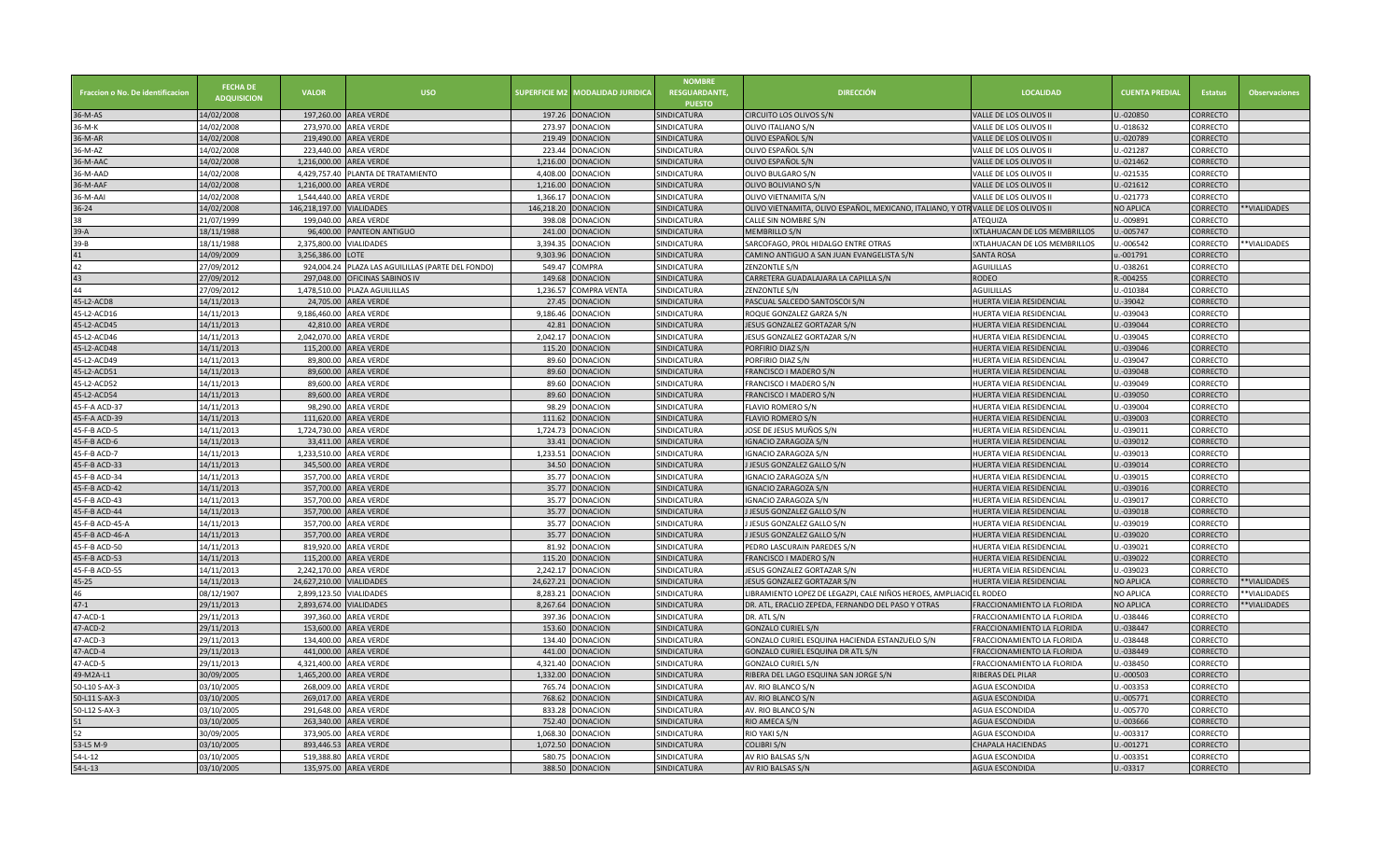| Fraccion o No. De identificacion | <b>FECHA DE</b><br><b>ADQUISICION</b> | <b>VALOR</b>              | <b>USO</b>                                        | <b>SUPERFICIE M2</b> | <b>AODALIDAD JURIDICA</b> | <b>NOMBRE</b><br><b>RESGUARDANTE.</b><br><b>PUESTO</b> | <b>DIRECCIÓN</b>                                                                  | <b>LOCALIDAD</b>              | <b>CUENTA PREDIAL</b> | <b>Estatus</b>  | <b>Observaciones</b> |
|----------------------------------|---------------------------------------|---------------------------|---------------------------------------------------|----------------------|---------------------------|--------------------------------------------------------|-----------------------------------------------------------------------------------|-------------------------------|-----------------------|-----------------|----------------------|
| 36-M-AS                          | 14/02/2008                            |                           | 197.260.00 AREA VERDE                             | 197.26               | <b>DONACION</b>           | SINDICATURA                                            | CIRCUITO LOS OLIVOS S/N                                                           | VALLE DE LOS OLIVOS I         | J.-020850             | CORRECTO        |                      |
| 36-M-K                           | 14/02/2008                            |                           | 273,970.00 AREA VERDE                             | 273.97               | DONACION                  | SINDICATURA                                            | OLIVO ITALIANO S/N                                                                | VALLE DE LOS OLIVOS II        | J.-018632             | CORRECTO        |                      |
| 36-M-AR                          | 14/02/2008                            | 219.490.00                | <b>AREA VERDE</b>                                 | 219.49               | <b>ONACION</b>            | SINDICATURA                                            | OLIVO ESPAÑOL S/N                                                                 | VALLE DE LOS OLIVOS II        | J.-020789             | CORRECTO        |                      |
| 36-M-AZ                          | 14/02/2008                            |                           | 223,440.00 AREA VERDE                             | 223.44               | DONACION                  | SINDICATURA                                            | OLIVO ESPAÑOL S/N                                                                 | VALLE DE LOS OLIVOS I         | J.-021287             | CORRECTO        |                      |
| 36-M-AAC                         | 14/02/2008                            | 1,216,000.00 AREA VERDE   |                                                   | 1.216.00             | <b>ONACION</b>            | SINDICATURA                                            | OLIVO ESPAÑOL S/N                                                                 | VALLE DE LOS OLIVOS II        | J.-021462             | CORRECTO        |                      |
| 36-M-AAD                         | 14/02/2008                            |                           | 4,429,757.40 PLANTA DE TRATAMIENTO                | 4,408.00             | DONACION                  | SINDICATURA                                            | OLIVO BULGARO S/N                                                                 | VALLE DE LOS OLIVOS II        | J.-021535             | CORRECTO        |                      |
| 5-M-AAF                          | 14/02/2008                            | 1,216,000.00 AREA VERDE   |                                                   | 1,216.00             | <b>ONACION</b>            | SINDICATURA                                            | OLIVO BOLIVIANO S/N                                                               | VALLE DE LOS OLIVOS II        | J.-021612             | CORRECTO        |                      |
| 36-M-AAI                         | 14/02/2008                            | 1,544,440.00 AREA VERDE   |                                                   | 1,366.17             | DONACION                  | SINDICATURA                                            | OLIVO VIETNAMITA S/N                                                              | VALLE DE LOS OLIVOS I         | J.-021773             | CORRECTO        |                      |
| $36 - 24$                        | 14/02/2008                            | 146,218,197.00 VIALIDADES |                                                   | 146,218.20           | DONACION                  | SINDICATURA                                            | OLIVO VIETNAMITA, OLIVO ESPAÑOL, MEXICANO, ITALIANO, Y OTR VALLE DE LOS OLIVOS II |                               | NO APLICA             | CORRECTO        | **VIALIDADES         |
| 38                               | 21/07/1999                            |                           | 199,040.00 AREA VERDE                             | 398.08               | DONACION                  | SINDICATURA                                            | CALLE SIN NOMBRE S/N                                                              | ATEQUIZA                      | J.-009891             | CORRECTO        |                      |
| $39-A$                           | 18/11/1988                            |                           | 96,400.00 PANTEON ANTIGUO                         | 241.00               | <b>DONACION</b>           | SINDICATURA                                            | <b>MEMBRILLO S/N</b>                                                              | IXTLAHUACAN DE LOS MEMBRILLOS | J.-005747             | CORRECTO        |                      |
| 39-B                             | 18/11/1988                            | 2,375,800.00 VIALIDADES   |                                                   | 3,394.35             | DONACION                  | SINDICATURA                                            | SARCOFAGO, PROL HIDALGO ENTRE OTRAS                                               | IXTLAHUACAN DE LOS MEMBRILLOS | $-006542$             | CORRECTO        | **VIALIDADES         |
| 41                               | 14/09/2009                            | 3,256,386.00              | LOTE                                              | 9,303.96             | <b>ONACION</b>            | SINDICATURA                                            | CAMINO ANTIGUO A SAN JUAN EVANGELISTA S/N                                         | <b>SANTA ROSA</b>             | $-001791$             | CORRECTO        |                      |
| 42                               | 27/09/2012                            |                           | 924,004.24 PLAZA LAS AGUILILLAS (PARTE DEL FONDO) | 549.47               | OMPRA                     | SINDICATURA                                            | ZENZONTLE S/N                                                                     | <b>AGUILILLAS</b>             | J.-038261             | CORRECTO        |                      |
| 43                               | 27/09/2012                            |                           | 297,048.00 OFICINAS SABINOS IV                    | 149.68               | <b>ONACION</b>            | SINDICATURA                                            | CARRETERA GUADALAJARA LA CAPILLA S/N                                              | <b>RODEO</b>                  | R.-004255             | CORRECTO        |                      |
| 44                               | 27/09/2012                            |                           | 1,478,510.00 PLAZA AGUILILLAS                     | 1,236.57             | COMPRA VENTA              | SINDICATURA                                            | ZENZONTLE S/N                                                                     | <b>AGUILILLAS</b>             | J.-010384             | CORRECTO        |                      |
| 45-L2-ACD8                       | 14/11/2013                            | 24,705.00                 | <b>AREA VERDE</b>                                 | 27.45                | <b>ONACION</b>            | SINDICATURA                                            | PASCUAL SALCEDO SANTOSCOI S/N                                                     | HUERTA VIEJA RESIDENCIAI      | J.-39042              | CORRECTO        |                      |
| 45-L2-ACD16                      | 14/11/2013                            | 9,186,460.00 AREA VERDE   |                                                   | 9,186.46             | DONACION                  | SINDICATURA                                            | ROQUE GONZALEZ GARZA S/N                                                          | HUERTA VIEJA RESIDENCIAL      | J.-039043             | CORRECTO        |                      |
| 45-L2-ACD45                      | 14/11/2013                            |                           | 42,810.00 AREA VERDE                              | 42.81                | <b>ONACION</b>            | SINDICATURA                                            | JESUS GONZALEZ GORTAZAR S/N                                                       | HUERTA VIEJA RESIDENCIA       | J.-039044             | CORRECTO        |                      |
| 45-L2-ACD46                      | 14/11/2013                            | 2,042,070.00 AREA VERDE   |                                                   | 2,042.17             | <b>DONACION</b>           | SINDICATURA                                            | JESUS GONZALEZ GORTAZAR S/N                                                       | HUERTA VIEJA RESIDENCIAL      | J.-039045             | CORRECTO        |                      |
| 45-L2-ACD48                      | 14/11/2013                            |                           | 115,200.00 AREA VERDE                             | 115.20               | <b>DONACION</b>           | SINDICATURA                                            | PORFIRIO DIAZ S/N                                                                 | HUERTA VIEJA RESIDENCIAI      | J.-039046             | <b>CORRECTO</b> |                      |
| 45-L2-ACD49                      | 14/11/2013                            |                           | 89,800.00 AREA VERDE                              | 89.60                | DONACION                  | SINDICATURA                                            | PORFIRIO DIAZ S/N                                                                 | HUERTA VIEJA RESIDENCIAL      | J.-039047             | CORRECTO        |                      |
| 45-L2-ACD51                      | 14/11/2013                            | 89,600.00                 | <b>AREA VERDE</b>                                 | 89.60                | <b>DONACION</b>           | SINDICATURA                                            | FRANCISCO I MADERO S/N                                                            | HUERTA VIEJA RESIDENCIA       | U.-039048             | CORRECTO        |                      |
| 45-L2-ACD52                      | 14/11/2013                            |                           | 89,600.00 AREA VERDE                              | 89.60                | <b>DONACION</b>           | SINDICATURA                                            | FRANCISCO I MADERO S/N                                                            | HUERTA VIEJA RESIDENCIAI      | J.-039049             | CORRECTO        |                      |
| 45-L2-ACD54                      | 14/11/2013                            |                           | 89,600.00 AREA VERDE                              | 89.60                | <b>DONACION</b>           | SINDICATURA                                            | FRANCISCO I MADERO S/N                                                            | HUERTA VIEJA RESIDENCIA       | J.-039050             | <b>CORRECTO</b> |                      |
| 45-F-A ACD-37                    | 14/11/2013                            |                           | 98,290.00 AREA VERDE                              | 98.29                | <b>DONACION</b>           | SINDICATURA                                            | FLAVIO ROMERO S/N                                                                 | HUERTA VIEJA RESIDENCIAL      | J.-039004             | CORRECTO        |                      |
| 45-F-A ACD-39                    | 14/11/2013                            |                           | 111,620.00 AREA VERDE                             | 111.62               | <b>DONACION</b>           | <b>SINDICATURA</b>                                     | <b>FLAVIO ROMERO S/N</b>                                                          | HUERTA VIEJA RESIDENCIA       | J.-039003             | <b>CORRECTO</b> |                      |
| 45-F-B ACD-5                     | 14/11/2013                            | 1,724,730.00 AREA VERDE   |                                                   | 1,724.73             | DONACION                  | SINDICATURA                                            | JOSE DE JESUS MUÑOS S/N                                                           | HUERTA VIEJA RESIDENCIAL      | J.-039011             | CORRECTO        |                      |
| 45-F-B ACD-6                     | 14/11/2013                            |                           | 33,411.00 AREA VERDE                              | 33.41                | DONACION                  | <b>SINDICATURA</b>                                     | <b>IGNACIO ZARAGOZA S/N</b>                                                       | HUERTA VIEJA RESIDENCIA       | J.-039012             | <b>CORRECTO</b> |                      |
| 45-F-B ACD-7                     | 14/11/2013                            | 1.233.510.00 AREA VERDE   |                                                   | 1.233.51             | DONACION                  | SINDICATURA                                            | <b>IGNACIO ZARAGOZA S/N</b>                                                       | HUERTA VIEJA RESIDENCIAL      | J.-039013             | CORRECTO        |                      |
| 45-F-B ACD-33                    | 14/11/2013                            |                           | 345,500.00 AREA VERDE                             | 34.50                | <b>DONACION</b>           | SINDICATURA                                            | J JESUS GONZALEZ GALLO S/N                                                        | HUERTA VIEJA RESIDENCIAI      | U.-039014             | <b>CORRECTO</b> |                      |
| 45-F-B ACD-34                    | 14/11/2013                            |                           | 357,700.00 AREA VERDE                             | 35.77                | DONACION                  | SINDICATURA                                            | IGNACIO ZARAGOZA S/N                                                              | HUERTA VIEJA RESIDENCIAL      | J.-039015             | CORRECTO        |                      |
| 45-F-B ACD-42                    | 14/11/2013                            |                           | 357,700.00 AREA VERDE                             | 35.77                | <b>DONACION</b>           | SINDICATURA                                            | <b>IGNACIO ZARAGOZA S/N</b>                                                       | HUERTA VIEJA RESIDENCIAI      | J.-039016             | <b>CORRECTO</b> |                      |
| 45-F-B ACD-43                    | 14/11/2013                            |                           | 357,700.00 AREA VERDE                             | 35.77                | DONACION                  | SINDICATURA                                            | <b>IGNACIO ZARAGOZA S/N</b>                                                       | HUERTA VIEJA RESIDENCIAL      | J.-039017             | CORRECTO        |                      |
| 45-F-B ACD-44                    | 14/11/2013                            |                           | 357,700.00 AREA VERDE                             | 35.77                | DONACION                  | SINDICATURA                                            | J JESUS GONZALEZ GALLO S/N                                                        | HUERTA VIEJA RESIDENCIAI      | U.-039018             | CORRECTO        |                      |
| 45-F-B ACD-45-A                  | 14/11/2013                            |                           | 357.700.00 AREA VERDE                             | 35.77                | DONACION                  | SINDICATURA                                            | J JESUS GONZALEZ GALLO S/N                                                        | HUERTA VIEJA RESIDENCIAL      | J.-039019             | CORRECTO        |                      |
| 45-F-B ACD-46-A                  | 14/11/2013                            |                           | 357,700.00 AREA VERDE                             | 35.77                | DONACION                  | SINDICATURA                                            | J JESUS GONZALEZ GALLO S/N                                                        | HUERTA VIEJA RESIDENCIAI      | J.-039020             | CORRECTO        |                      |
| 45-F-B ACD-50                    | 14/11/2013                            |                           | 819.920.00 AREA VERDE                             | 81.92                | DONACION                  | SINDICATURA                                            | PEDRO LASCURAIN PAREDES S/N                                                       | HUERTA VIEJA RESIDENCIAL      | J.-039021             | CORRECTO        |                      |
| 45-F-B ACD-53                    | 14/11/2013                            | 115,200,00                | <b>AREA VERDE</b>                                 | 115.20               | DONACION                  | SINDICATURA                                            | FRANCISCO I MADERO S/N                                                            | HUERTA VIEJA RESIDENCIA       | J.-039022             | CORRECTO        |                      |
| 45-F-B ACD-55                    | 14/11/2013                            | 2.242.170.00 AREA VERDE   |                                                   | 2.242.17             | DONACION                  | SINDICATURA                                            | JESUS GONZALEZ GORTAZAR S/N                                                       | HUERTA VIEJA RESIDENCIAI      | J.-039023             | CORRECTO        |                      |
| $45 - 25$                        | 14/11/2013                            | 24,627,210.00 VIALIDADES  |                                                   | 24.627.21            | <b>DONACION</b>           | SINDICATURA                                            | JESUS GONZALEZ GORTAZAR S/N                                                       | HUERTA VIEJA RESIDENCIAL      | <b>NO APLICA</b>      | CORRECTO        | **VIALIDADES         |
| 46                               | 08/12/1907                            | 2.899.123.50 VIALIDADES   |                                                   | 8.283.21             | DONACION                  | SINDICATURA                                            | LIBRAMIENTO LOPEZ DE LEGAZPI. CALE NIÑOS HEROES. AMPLIACIO EL RODEO               |                               | NO APLICA             | CORRECTO        | *VIALIDADES          |
| $47-1$                           | 29/11/2013                            | 2,893,674.00 VIALIDADES   |                                                   | 8,267.64             | <b>DONACION</b>           | SINDICATURA                                            | DR. ATL, ERACLIO ZEPEDA, FERNANDO DEL PASO Y OTRAS                                | FRACCIONAMIENTO LA FLORIDA    | NO APLICA             | CORRECTO        | **VIALIDADES         |
| 47-ACD-1                         | 29/11/2013                            |                           | 397.360.00 AREA VERDE                             | 397.36               | DONACION                  | SINDICATURA                                            | DR. ATL S/N                                                                       | FRACCIONAMIENTO LA FLORIDA    | J.-038446             | CORRECTO        |                      |
| 47-ACD-2                         | 29/11/2013                            |                           | 153,600.00 AREA VERDE                             | 153.60               | <b>DONACION</b>           | SINDICATURA                                            | <b>GONZALO CURIEL S/N</b>                                                         | FRACCIONAMIENTO LA FLORIDA    | J.-038447             | CORRECTO        |                      |
| 47-ACD-3                         | 29/11/2013                            |                           | 134,400.00 AREA VERDE                             | 134.40               | DONACION                  | SINDICATURA                                            | GONZALO CURIEL ESQUINA HACIENDA ESTANZUELO S/N                                    | FRACCIONAMIENTO LA FLORIDA    | U.-038448             | CORRECTO        |                      |
| 47-ACD-4                         | 29/11/2013                            |                           | 441,000.00 AREA VERDE                             | 441.00               | DONACION                  | SINDICATURA                                            | GONZALO CURIEL ESQUINA DR ATL S/N                                                 | FRACCIONAMIENTO LA FLORIDA    | J.-038449             | CORRECTO        |                      |
| 47-ACD-5                         | 29/11/2013                            | 4,321,400.00 AREA VERDE   |                                                   | 4.321.40             | DONACION                  | SINDICATURA                                            | <b>GONZALO CURIEL S/N</b>                                                         | FRACCIONAMIENTO LA FLORIDA    | J.-038450             | CORRECTO        |                      |
| 49-M2A-L1                        | 30/09/2005                            | 1,465,200.00 AREA VERDE   |                                                   | 1,332.00             | DONACION                  | SINDICATURA                                            | RIBERA DEL LAGO ESQUINA SAN JORGE S/N                                             | RIBERAS DEL PILAR             | J.-000503             | CORRECTO        |                      |
| 50-L10 S-AX-3                    | 03/10/2005                            |                           | 268,009.00 AREA VERDE                             | 765.74               | <b>ONACION</b>            | <b>SINDICATURA</b>                                     | AV. RIO BLANCO S/N                                                                | AGUA ESCONDIDA                | J.-003353             | CORRECTO        |                      |
| 50-L11 S-AX-3                    | 03/10/2005                            |                           | 269,017.00 AREA VERDE                             | 768.62               | DONACION                  | SINDICATURA                                            | AV. RIO BLANCO S/N                                                                | AGUA ESCONDIDA                | J.-005771             | CORRECTO        |                      |
| 50-L12 S-AX-3                    | 03/10/2005                            |                           | 291,648.00 AREA VERDE                             | 833.28               | <b>DONACION</b>           | SINDICATURA                                            | AV. RIO BLANCO S/N                                                                | AGUA ESCONDIDA                | J.-005770             | CORRECTO        |                      |
| 51                               | 03/10/2005                            |                           | 263,340.00 AREA VERDE                             | 752.40               | <b>DONACION</b>           | SINDICATURA                                            | RIO AMECA S/N                                                                     | AGUA ESCONDIDA                | J.-003666             | CORRECTO        |                      |
|                                  | 30/09/2005                            |                           | 373.905.00 AREA VERDE                             | 1.068.30             | <b>ONACION</b>            | SINDICATURA                                            | RIO YAKI S/N                                                                      | AGUA ESCONDIDA                | J.-003317             | CORRECTO        |                      |
| 53-L5 M-9                        | 03/10/2005                            |                           | 893,446.53 AREA VERDE                             | 1,072.50             | <b>DONACION</b>           | <b>SINDICATURA</b>                                     | <b>COLIBRI S/N</b>                                                                | CHAPALA HACIENDAS             | J.-001271             | CORRECTO        |                      |
| $54-L-12$                        | 03/10/2005                            |                           | 519,388.80 AREA VERDE                             | 580.75               | <b>ONACION</b>            | SINDICATURA                                            | AV RIO BALSAS S/N                                                                 | <b>AGUA ESCONDIDA</b>         | J.-003351             | CORRECTO        |                      |
| $54-L-13$                        | 03/10/2005                            |                           | 135,975.00 AREA VERDE                             |                      | 388.50 DONACION           | SINDICATURA                                            | AV RIO BALSAS S/N                                                                 | AGUA ESCONDIDA                | J.-03317              | CORRECTO        |                      |